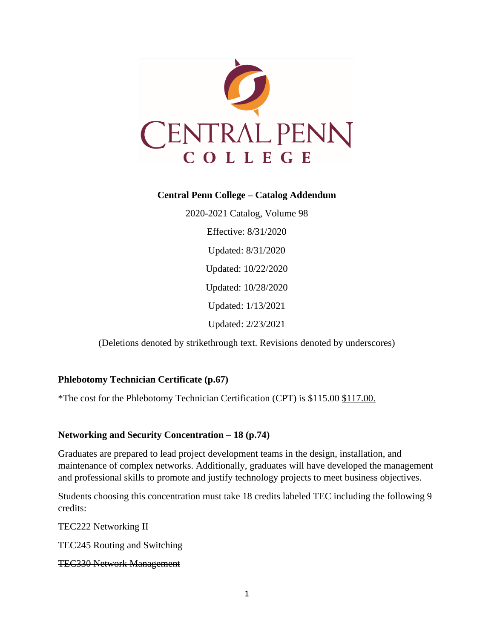

## **Central Penn College – Catalog Addendum**

2020-2021 Catalog, Volume 98 Effective: 8/31/2020 Updated: 8/31/2020 Updated: 10/22/2020 Updated: 10/28/2020 Updated: 1/13/2021 Updated: 2/23/2021

(Deletions denoted by strikethrough text. Revisions denoted by underscores)

## **Phlebotomy Technician Certificate (p.67)**

\*The cost for the Phlebotomy Technician Certification (CPT) is \$115.00 \$117.00.

## **Networking and Security Concentration – 18 (p.74)**

Graduates are prepared to lead project development teams in the design, installation, and maintenance of complex networks. Additionally, graduates will have developed the management and professional skills to promote and justify technology projects to meet business objectives.

Students choosing this concentration must take 18 credits labeled TEC including the following 9 credits:

TEC222 Networking II

TEC245 Routing and Switching

```
TEC330 Network Management
```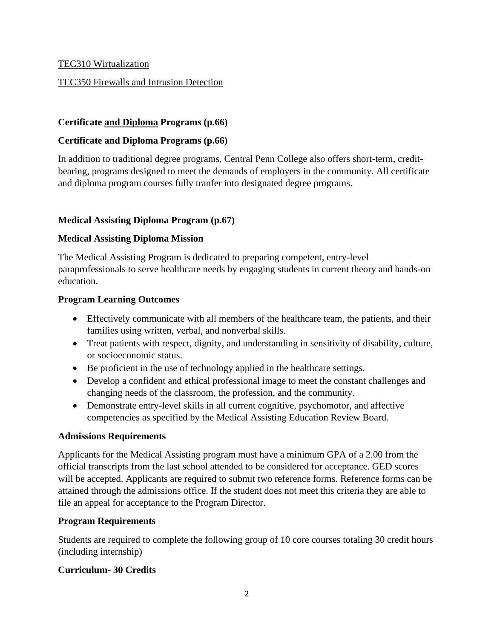# TEC310 Wirtualization

# TEC350 Firewalls and Intrusion Detection

# **Certificate and Diploma Programs (p.66)**

# **Certificate and Diploma Programs (p.66)**

In addition to traditional degree programs, Central Penn College also offers short-term, creditbearing, programs designed to meet the demands of employers in the community. All certificate and diploma program courses fully tranfer into designated degree programs.

# **Medical Assisting Diploma Program (p.67)**

## **Medical Assisting Diploma Mission**

The Medical Assisting Program is dedicated to preparing competent, entry-level paraprofessionals to serve healthcare needs by engaging students in current theory and hands-on education.

## **Program Learning Outcomes**

- Effectively communicate with all members of the healthcare team, the patients, and their families using written, verbal, and nonverbal skills.
- Treat patients with respect, dignity, and understanding in sensitivity of disability, culture, or socioeconomic status.
- Be proficient in the use of technology applied in the healthcare settings.
- Develop a confident and ethical professional image to meet the constant challenges and changing needs of the classroom, the profession, and the community.
- Demonstrate entry-level skills in all current cognitive, psychomotor, and affective competencies as specified by the Medical Assisting Education Review Board.

## **Admissions Requirements**

Applicants for the Medical Assisting program must have a minimum GPA of a 2.00 from the official transcripts from the last school attended to be considered for acceptance. GED scores will be accepted. Applicants are required to submit two reference forms. Reference forms can be attained through the admissions office. If the student does not meet this criteria they are able to file an appeal for acceptance to the Program Director.

# **Program Requirements**

Students are required to complete the following group of 10 core courses totaling 30 credit hours (including internship)

# **Curriculum- 30 Credits**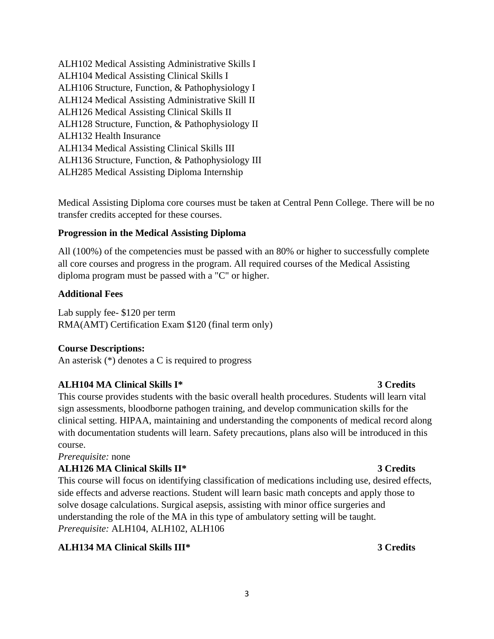ALH102 Medical Assisting Administrative Skills I ALH104 Medical Assisting Clinical Skills I ALH106 Structure, Function, & Pathophysiology I ALH124 Medical Assisting Administrative Skill II ALH126 Medical Assisting Clinical Skills II ALH128 Structure, Function, & Pathophysiology II ALH132 Health Insurance ALH134 Medical Assisting Clinical Skills III ALH136 Structure, Function, & Pathophysiology III ALH285 Medical Assisting Diploma Internship

Medical Assisting Diploma core courses must be taken at Central Penn College. There will be no transfer credits accepted for these courses.

# **Progression in the Medical Assisting Diploma**

All (100%) of the competencies must be passed with an 80% or higher to successfully complete all core courses and progress in the program. All required courses of the Medical Assisting diploma program must be passed with a "C" or higher.

## **Additional Fees**

Lab supply fee- \$120 per term RMA(AMT) Certification Exam \$120 (final term only)

## **Course Descriptions:**

An asterisk (\*) denotes a C is required to progress

## **ALH104 MA Clinical Skills I\* 3 Credits**

This course provides students with the basic overall health procedures. Students will learn vital sign assessments, bloodborne pathogen training, and develop communication skills for the clinical setting. HIPAA, maintaining and understanding the components of medical record along with documentation students will learn. Safety precautions, plans also will be introduced in this course.

## *Prerequisite:* none

# **ALH126 MA Clinical Skills II\* 3 Credits**

This course will focus on identifying classification of medications including use, desired effects, side effects and adverse reactions. Student will learn basic math concepts and apply those to solve dosage calculations. Surgical asepsis, assisting with minor office surgeries and understanding the role of the MA in this type of ambulatory setting will be taught. *Prerequisite:* ALH104, ALH102, ALH106

3

## **ALH134 MA Clinical Skills III\* 3 Credits**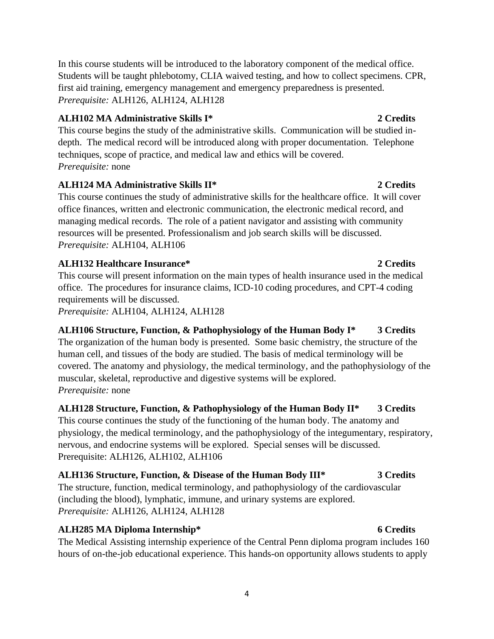In this course students will be introduced to the laboratory component of the medical office. Students will be taught phlebotomy, CLIA waived testing, and how to collect specimens. CPR, first aid training, emergency management and emergency preparedness is presented. *Prerequisite:* ALH126, ALH124, ALH128

# **ALH102 MA Administrative Skills I\* 2 Credits**

This course begins the study of the administrative skills. Communication will be studied indepth. The medical record will be introduced along with proper documentation. Telephone techniques, scope of practice, and medical law and ethics will be covered. *Prerequisite:* none

# **ALH124 MA Administrative Skills II\* 2 Credits**

This course continues the study of administrative skills for the healthcare office. It will cover office finances, written and electronic communication, the electronic medical record, and managing medical records. The role of a patient navigator and assisting with community resources will be presented. Professionalism and job search skills will be discussed. *Prerequisite:* ALH104, ALH106

## **ALH132 Healthcare Insurance\* 2 Credits**

This course will present information on the main types of health insurance used in the medical office. The procedures for insurance claims, ICD-10 coding procedures, and CPT-4 coding requirements will be discussed.

*Prerequisite:* ALH104, ALH124, ALH128

**ALH106 Structure, Function, & Pathophysiology of the Human Body I\* 3 Credits** The organization of the human body is presented. Some basic chemistry, the structure of the human cell, and tissues of the body are studied. The basis of medical terminology will be covered. The anatomy and physiology, the medical terminology, and the pathophysiology of the muscular, skeletal, reproductive and digestive systems will be explored. *Prerequisite:* none

# **ALH128 Structure, Function, & Pathophysiology of the Human Body II\* 3 Credits** This course continues the study of the functioning of the human body. The anatomy and physiology, the medical terminology, and the pathophysiology of the integumentary, respiratory, nervous, and endocrine systems will be explored. Special senses will be discussed. Prerequisite: ALH126, ALH102, ALH106

**ALH136 Structure, Function, & Disease of the Human Body III\* 3 Credits** The structure, function, medical terminology, and pathophysiology of the cardiovascular (including the blood), lymphatic, immune, and urinary systems are explored. *Prerequisite:* ALH126, ALH124, ALH128

# **ALH285 MA Diploma Internship\* 6 Credits**

The Medical Assisting internship experience of the Central Penn diploma program includes 160 hours of on-the-job educational experience. This hands-on opportunity allows students to apply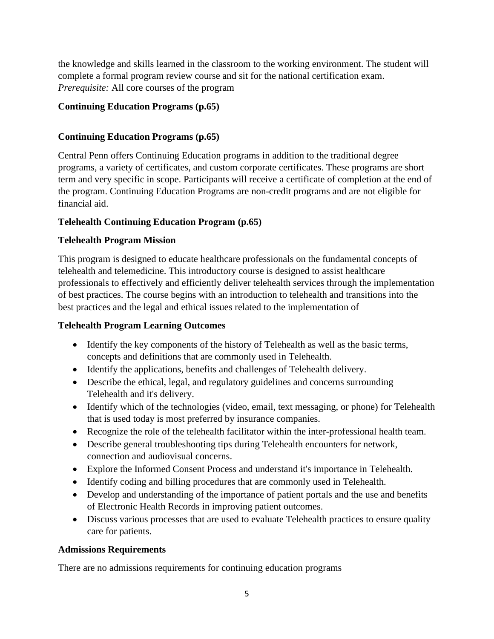the knowledge and skills learned in the classroom to the working environment. The student will complete a formal program review course and sit for the national certification exam. *Prerequisite:* All core courses of the program

# **Continuing Education Programs (p.65)**

# **Continuing Education Programs (p.65)**

Central Penn offers Continuing Education programs in addition to the traditional degree programs, a variety of certificates, and custom corporate certificates. These programs are short term and very specific in scope. Participants will receive a certificate of completion at the end of the program. Continuing Education Programs are non-credit programs and are not eligible for financial aid.

# **Telehealth Continuing Education Program (p.65)**

## **Telehealth Program Mission**

This program is designed to educate healthcare professionals on the fundamental concepts of telehealth and telemedicine. This introductory course is designed to assist healthcare professionals to effectively and efficiently deliver telehealth services through the implementation of best practices. The course begins with an introduction to telehealth and transitions into the best practices and the legal and ethical issues related to the implementation of

## **Telehealth Program Learning Outcomes**

- Identify the key components of the history of Telehealth as well as the basic terms, concepts and definitions that are commonly used in Telehealth.
- Identify the applications, benefits and challenges of Telehealth delivery.
- Describe the ethical, legal, and regulatory guidelines and concerns surrounding Telehealth and it's delivery.
- Identify which of the technologies (video, email, text messaging, or phone) for Telehealth that is used today is most preferred by insurance companies.
- Recognize the role of the telehealth facilitator within the inter-professional health team.
- Describe general troubleshooting tips during Telehealth encounters for network, connection and audiovisual concerns.
- Explore the Informed Consent Process and understand it's importance in Telehealth.
- Identify coding and billing procedures that are commonly used in Telehealth.
- Develop and understanding of the importance of patient portals and the use and benefits of Electronic Health Records in improving patient outcomes.
- Discuss various processes that are used to evaluate Telehealth practices to ensure quality care for patients.

## **Admissions Requirements**

There are no admissions requirements for continuing education programs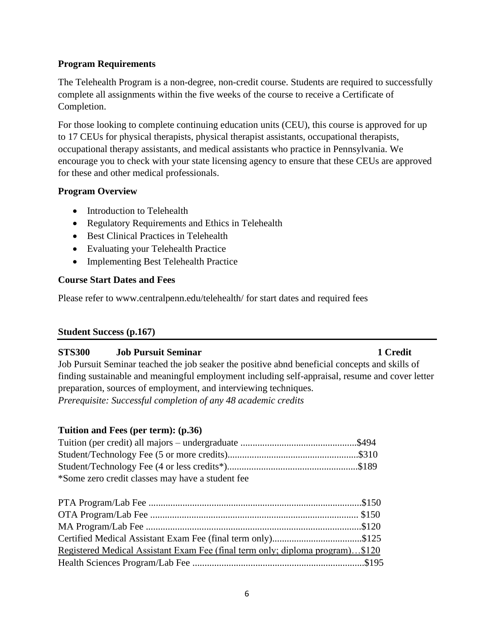## **Program Requirements**

The Telehealth Program is a non-degree, non-credit course. Students are required to successfully complete all assignments within the five weeks of the course to receive a Certificate of Completion.

For those looking to complete continuing education units (CEU), this course is approved for up to 17 CEUs for physical therapists, physical therapist assistants, occupational therapists, occupational therapy assistants, and medical assistants who practice in Pennsylvania. We encourage you to check with your state licensing agency to ensure that these CEUs are approved for these and other medical professionals.

## **Program Overview**

- Introduction to Telehealth
- Regulatory Requirements and Ethics in Telehealth
- Best Clinical Practices in Telehealth
- Evaluating your Telehealth Practice
- Implementing Best Telehealth Practice

## **Course Start Dates and Fees**

Please refer to www.centralpenn.edu/telehealth/ for start dates and required fees

## **Student Success (p.167)**

## **STS300 Job Pursuit Seminar 1 Credit**

Job Pursuit Seminar teached the job seaker the positive abnd beneficial concepts and skills of finding sustainable and meaningful employment including self-appraisal, resume and cover letter preparation, sources of employment, and interviewing techniques. *Prerequisite: Successful completion of any 48 academic credits*

## **Tuition and Fees (per term): (p.36)**

| *Some zero credit classes may have a student fee |  |
|--------------------------------------------------|--|

| Registered Medical Assistant Exam Fee (final term only; diploma program)\$120 |  |
|-------------------------------------------------------------------------------|--|
|                                                                               |  |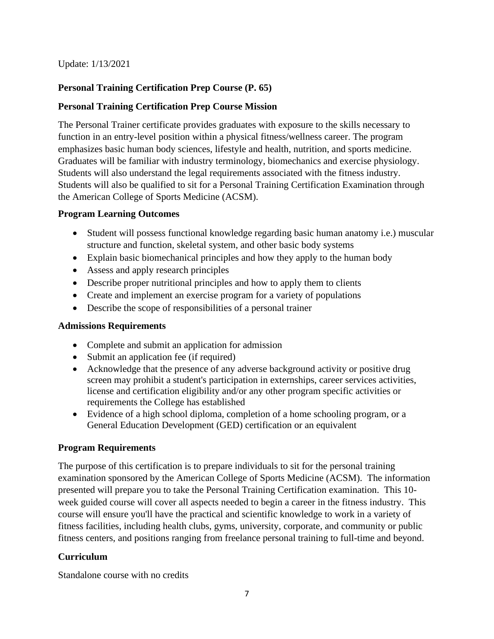Update: 1/13/2021

# **Personal Training Certification Prep Course (P. 65)**

# **Personal Training Certification Prep Course Mission**

The Personal Trainer certificate provides graduates with exposure to the skills necessary to function in an entry-level position within a physical fitness/wellness career. The program emphasizes basic human body sciences, lifestyle and health, nutrition, and sports medicine. Graduates will be familiar with industry terminology, biomechanics and exercise physiology. Students will also understand the legal requirements associated with the fitness industry. Students will also be qualified to sit for a Personal Training Certification Examination through the American College of Sports Medicine (ACSM).

## **Program Learning Outcomes**

- Student will possess functional knowledge regarding basic human anatomy *i.e.*) muscular structure and function, skeletal system, and other basic body systems
- Explain basic biomechanical principles and how they apply to the human body
- Assess and apply research principles
- Describe proper nutritional principles and how to apply them to clients
- Create and implement an exercise program for a variety of populations
- Describe the scope of responsibilities of a personal trainer

## **Admissions Requirements**

- Complete and submit an application for admission
- Submit an application fee (if required)
- Acknowledge that the presence of any adverse background activity or positive drug screen may prohibit a student's participation in externships, career services activities, license and certification eligibility and/or any other program specific activities or requirements the College has established
- Evidence of a high school diploma, completion of a home schooling program, or a General Education Development (GED) certification or an equivalent

## **Program Requirements**

The purpose of this certification is to prepare individuals to sit for the personal training examination sponsored by the American College of Sports Medicine (ACSM). The information presented will prepare you to take the Personal Training Certification examination. This 10 week guided course will cover all aspects needed to begin a career in the fitness industry. This course will ensure you'll have the practical and scientific knowledge to work in a variety of fitness facilities, including health clubs, gyms, university, corporate, and community or public fitness centers, and positions ranging from freelance personal training to full-time and beyond.

## **Curriculum**

Standalone course with no credits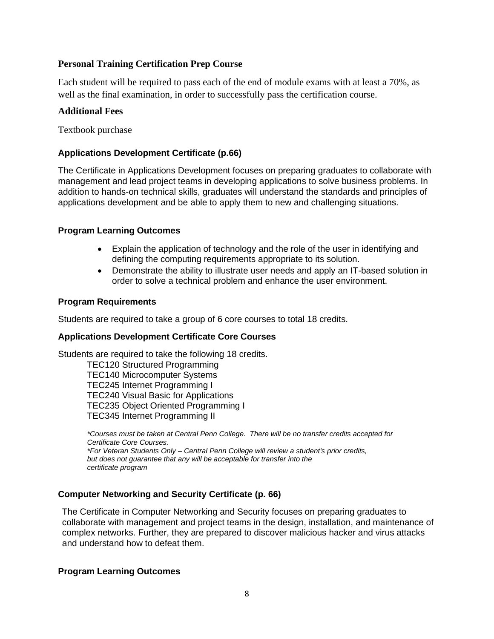## **Personal Training Certification Prep Course**

Each student will be required to pass each of the end of module exams with at least a 70%, as well as the final examination, in order to successfully pass the certification course.

## **Additional Fees**

Textbook purchase

## **Applications Development Certificate (p.66)**

The Certificate in Applications Development focuses on preparing graduates to collaborate with management and lead project teams in developing applications to solve business problems. In addition to hands-on technical skills, graduates will understand the standards and principles of applications development and be able to apply them to new and challenging situations.

## **Program Learning Outcomes**

- Explain the application of technology and the role of the user in identifying and defining the computing requirements appropriate to its solution.
- Demonstrate the ability to illustrate user needs and apply an IT-based solution in order to solve a technical problem and enhance the user environment.

### **Program Requirements**

Students are required to take a group of 6 core courses to total 18 credits.

### **Applications Development Certificate Core Courses**

Students are required to take the following 18 credits.

TEC120 Structured Programming TEC140 Microcomputer Systems TEC245 Internet Programming I TEC240 Visual Basic for Applications TEC235 Object Oriented Programming I TEC345 Internet Programming II

*\*Courses must be taken at Central Penn College. There will be no transfer credits accepted for Certificate Core Courses. \*For Veteran Students Only – Central Penn College will review a student's prior credits, but does not guarantee that any will be acceptable for transfer into the certificate program*

## **Computer Networking and Security Certificate (p. 66)**

The Certificate in Computer Networking and Security focuses on preparing graduates to collaborate with management and project teams in the design, installation, and maintenance of complex networks. Further, they are prepared to discover malicious hacker and virus attacks and understand how to defeat them.

### **Program Learning Outcomes**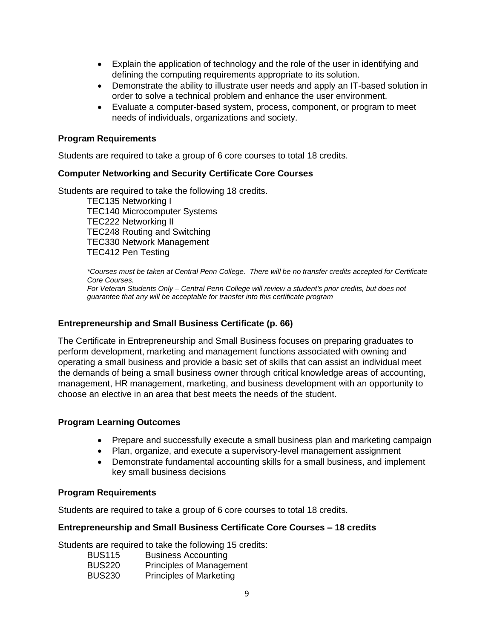- Explain the application of technology and the role of the user in identifying and defining the computing requirements appropriate to its solution.
- Demonstrate the ability to illustrate user needs and apply an IT-based solution in order to solve a technical problem and enhance the user environment.
- Evaluate a computer-based system, process, component, or program to meet needs of individuals, organizations and society.

#### **Program Requirements**

Students are required to take a group of 6 core courses to total 18 credits.

#### **Computer Networking and Security Certificate Core Courses**

Students are required to take the following 18 credits.

TEC135 Networking I TEC140 Microcomputer Systems TEC222 Networking II TEC248 Routing and Switching TEC330 Network Management TEC412 Pen Testing

*\*Courses must be taken at Central Penn College. There will be no transfer credits accepted for Certificate Core Courses. For Veteran Students Only – Central Penn College will review a student's prior credits, but does not* 

*guarantee that any will be acceptable for transfer into this certificate program*

### **Entrepreneurship and Small Business Certificate (p. 66)**

The Certificate in Entrepreneurship and Small Business focuses on preparing graduates to perform development, marketing and management functions associated with owning and operating a small business and provide a basic set of skills that can assist an individual meet the demands of being a small business owner through critical knowledge areas of accounting, management, HR management, marketing, and business development with an opportunity to choose an elective in an area that best meets the needs of the student.

### **Program Learning Outcomes**

- Prepare and successfully execute a small business plan and marketing campaign
- Plan, organize, and execute a supervisory-level management assignment
- Demonstrate fundamental accounting skills for a small business, and implement key small business decisions

### **Program Requirements**

Students are required to take a group of 6 core courses to total 18 credits.

### **Entrepreneurship and Small Business Certificate Core Courses – 18 credits**

Students are required to take the following 15 credits:

| <b>BUS115</b> | <b>Business Accounting</b>      |
|---------------|---------------------------------|
| <b>BUS220</b> | <b>Principles of Management</b> |
| <b>BUS230</b> | <b>Principles of Marketing</b>  |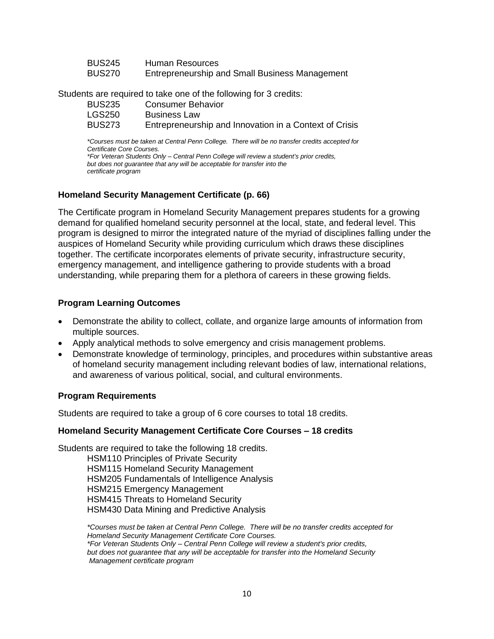| <b>BUS245</b> | Human Resources                                |
|---------------|------------------------------------------------|
| <b>BUS270</b> | Entrepreneurship and Small Business Management |

Students are required to take one of the following for 3 credits:

| <b>BUS235</b> | Consumer Behavior                                      |
|---------------|--------------------------------------------------------|
| LGS250        | <b>Business Law</b>                                    |
| BUS273        | Entrepreneurship and Innovation in a Context of Crisis |

*\*Courses must be taken at Central Penn College. There will be no transfer credits accepted for Certificate Core Courses.*

*\*For Veteran Students Only – Central Penn College will review a student's prior credits, but does not guarantee that any will be acceptable for transfer into the certificate program*

### **Homeland Security Management Certificate (p. 66)**

The Certificate program in Homeland Security Management prepares students for a growing demand for qualified homeland security personnel at the local, state, and federal level. This program is designed to mirror the integrated nature of the myriad of disciplines falling under the auspices of Homeland Security while providing curriculum which draws these disciplines together. The certificate incorporates elements of private security, infrastructure security, emergency management, and intelligence gathering to provide students with a broad understanding, while preparing them for a plethora of careers in these growing fields.

#### **Program Learning Outcomes**

- Demonstrate the ability to collect, collate, and organize large amounts of information from multiple sources.
- Apply analytical methods to solve emergency and crisis management problems.
- Demonstrate knowledge of terminology, principles, and procedures within substantive areas of homeland security management including relevant bodies of law, international relations, and awareness of various political, social, and cultural environments.

#### **Program Requirements**

Students are required to take a group of 6 core courses to total 18 credits.

#### **Homeland Security Management Certificate Core Courses – 18 credits**

Students are required to take the following 18 credits.

HSM110 Principles of Private Security HSM115 Homeland Security Management HSM205 Fundamentals of Intelligence Analysis HSM215 Emergency Management HSM415 Threats to Homeland Security HSM430 Data Mining and Predictive Analysis

*\*Courses must be taken at Central Penn College. There will be no transfer credits accepted for Homeland Security Management Certificate Core Courses. \*For Veteran Students Only – Central Penn College will review a student's prior credits, but does not guarantee that any will be acceptable for transfer into the Homeland Security Management certificate program*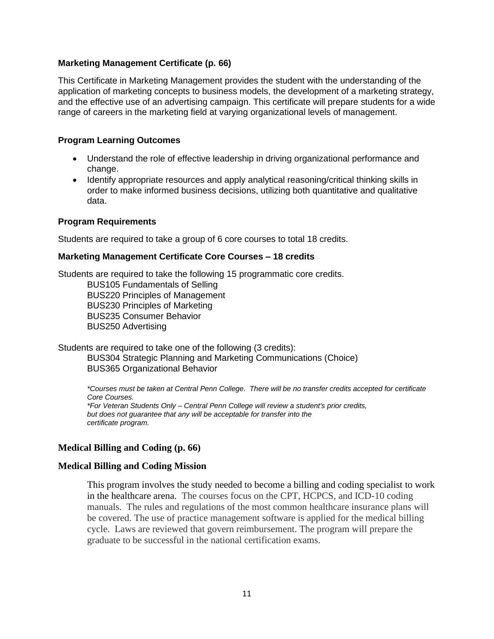## **Marketing Management Certificate (p. 66)**

This Certificate in Marketing Management provides the student with the understanding of the application of marketing concepts to business models, the development of a marketing strategy, and the effective use of an advertising campaign. This certificate will prepare students for a wide range of careers in the marketing field at varying organizational levels of management.

### **Program Learning Outcomes**

- Understand the role of effective leadership in driving organizational performance and change.
- Identify appropriate resources and apply analytical reasoning/critical thinking skills in order to make informed business decisions, utilizing both quantitative and qualitative data.

### **Program Requirements**

Students are required to take a group of 6 core courses to total 18 credits.

### **Marketing Management Certificate Core Courses – 18 credits**

Students are required to take the following 15 programmatic core credits. BUS105 Fundamentals of Selling BUS220 Principles of Management BUS230 Principles of Marketing BUS235 Consumer Behavior BUS250 Advertising

Students are required to take one of the following (3 credits): BUS304 Strategic Planning and Marketing Communications (Choice) BUS365 Organizational Behavior

*\*Courses must be taken at Central Penn College. There will be no transfer credits accepted for certificate Core Courses. \*For Veteran Students Only – Central Penn College will review a student's prior credits, but does not guarantee that any will be acceptable for transfer into the certificate program.*

## **Medical Billing and Coding (p. 66)**

### **Medical Billing and Coding Mission**

This program involves the study needed to become a billing and coding specialist to work in the healthcare arena. The courses focus on the CPT, HCPCS, and ICD-10 coding manuals. The rules and regulations of the most common healthcare insurance plans will be covered. The use of practice management software is applied for the medical billing cycle. Laws are reviewed that govern reimbursement. The program will prepare the graduate to be successful in the national certification exams.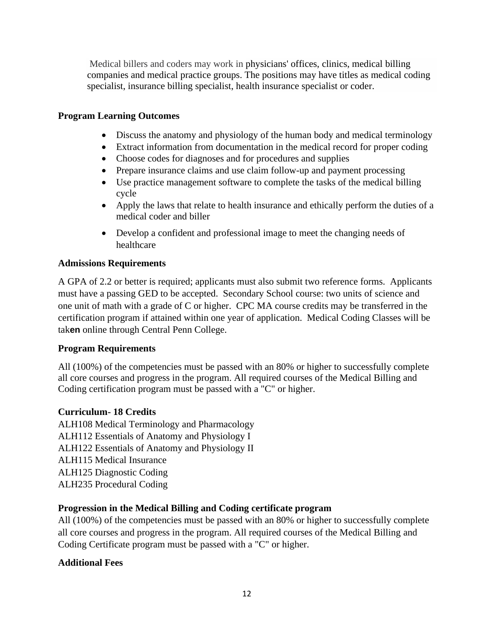Medical billers and coders may work in physicians' offices, clinics, medical billing companies and medical practice groups. The positions may have titles as medical coding specialist, insurance billing specialist, health insurance specialist or coder.

## **Program Learning Outcomes**

- Discuss the anatomy and physiology of the human body and medical terminology
- Extract information from documentation in the medical record for proper coding
- Choose codes for diagnoses and for procedures and supplies
- Prepare insurance claims and use claim follow-up and payment processing
- Use practice management software to complete the tasks of the medical billing cycle
- Apply the laws that relate to health insurance and ethically perform the duties of a medical coder and biller
- Develop a confident and professional image to meet the changing needs of healthcare

## **Admissions Requirements**

A GPA of 2.2 or better is required; applicants must also submit two reference forms. Applicants must have a passing GED to be accepted. Secondary School course: two units of science and one unit of math with a grade of C or higher. CPC MA course credits may be transferred in the certification program if attained within one year of application. Medical Coding Classes will be tak**en** online through Central Penn College.

## **Program Requirements**

All (100%) of the competencies must be passed with an 80% or higher to successfully complete all core courses and progress in the program. All required courses of the Medical Billing and Coding certification program must be passed with a "C" or higher.

## **Curriculum- 18 Credits**

ALH108 Medical Terminology and Pharmacology ALH112 Essentials of Anatomy and Physiology I ALH122 Essentials of Anatomy and Physiology II ALH115 Medical Insurance ALH125 Diagnostic Coding ALH235 Procedural Coding

## **Progression in the Medical Billing and Coding certificate program**

All (100%) of the competencies must be passed with an 80% or higher to successfully complete all core courses and progress in the program. All required courses of the Medical Billing and Coding Certificate program must be passed with a "C" or higher.

## **Additional Fees**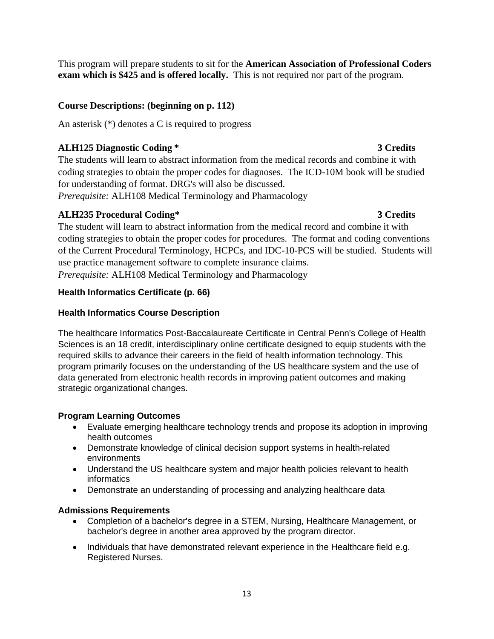This program will prepare students to sit for the **American Association of Professional Coders exam which is \$425 and is offered locally.** This is not required nor part of the program.

# **Course Descriptions: (beginning on p. 112)**

An asterisk (\*) denotes a C is required to progress

# **ALH125 Diagnostic Coding \* 3 Credits**

The students will learn to abstract information from the medical records and combine it with coding strategies to obtain the proper codes for diagnoses. The ICD-10M book will be studied for understanding of format. DRG's will also be discussed.

*Prerequisite:* ALH108 Medical Terminology and Pharmacology

# **ALH235 Procedural Coding\* 3 Credits**

The student will learn to abstract information from the medical record and combine it with coding strategies to obtain the proper codes for procedures. The format and coding conventions of the Current Procedural Terminology, HCPCs, and IDC-10-PCS will be studied. Students will use practice management software to complete insurance claims. *Prerequisite:* ALH108 Medical Terminology and Pharmacology

# **Health Informatics Certificate (p. 66)**

# **Health Informatics Course Description**

The healthcare Informatics Post-Baccalaureate Certificate in Central Penn's College of Health Sciences is an 18 credit, interdisciplinary online certificate designed to equip students with the required skills to advance their careers in the field of health information technology. This program primarily focuses on the understanding of the US healthcare system and the use of data generated from electronic health records in improving patient outcomes and making strategic organizational changes.

## **Program Learning Outcomes**

- Evaluate emerging healthcare technology trends and propose its adoption in improving health outcomes
- Demonstrate knowledge of clinical decision support systems in health-related environments
- Understand the US healthcare system and major health policies relevant to health informatics
- Demonstrate an understanding of processing and analyzing healthcare data

## **Admissions Requirements**

- Completion of a bachelor's degree in a STEM, Nursing, Healthcare Management, or bachelor's degree in another area approved by the program director.
- Individuals that have demonstrated relevant experience in the Healthcare field e.g. Registered Nurses.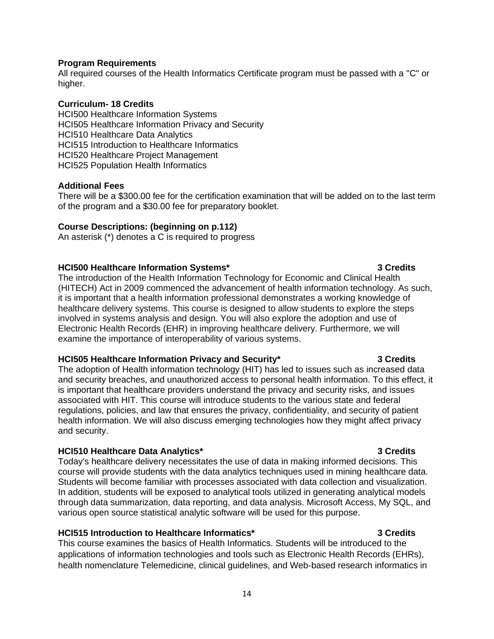### **Program Requirements**

All required courses of the Health Informatics Certificate program must be passed with a "C" or higher.

### **Curriculum- 18 Credits**

HCI500 Healthcare Information Systems HCI505 Healthcare Information Privacy and Security HCI510 Healthcare Data Analytics HCI515 Introduction to Healthcare Informatics HCI520 Healthcare Project Management HCI525 Population Health Informatics

### **Additional Fees**

There will be a \$300.00 fee for the certification examination that will be added on to the last term of the program and a \$30.00 fee for preparatory booklet.

### **Course Descriptions: (beginning on p.112)**

An asterisk (\*) denotes a C is required to progress

### **HCI500 Healthcare Information Systems\* 3 Credits**

The introduction of the Health Information Technology for Economic and Clinical Health (HITECH) Act in 2009 commenced the advancement of health information technology. As such, it is important that a health information professional demonstrates a working knowledge of healthcare delivery systems. This course is designed to allow students to explore the steps involved in systems analysis and design. You will also explore the adoption and use of Electronic Health Records (EHR) in improving healthcare delivery. Furthermore, we will examine the importance of interoperability of various systems.

## **HCI505 Healthcare Information Privacy and Security\* 3 Credits**

The adoption of Health information technology (HIT) has led to issues such as increased data and security breaches, and unauthorized access to personal health information. To this effect, it is important that healthcare providers understand the privacy and security risks, and issues associated with HIT. This course will introduce students to the various state and federal regulations, policies, and law that ensures the privacy, confidentiality, and security of patient health information. We will also discuss emerging technologies how they might affect privacy and security.

## **HCI510 Healthcare Data Analytics\* 3 Credits**

Today's healthcare delivery necessitates the use of data in making informed decisions. This course will provide students with the data analytics techniques used in mining healthcare data. Students will become familiar with processes associated with data collection and visualization. In addition, students will be exposed to analytical tools utilized in generating analytical models through data summarization, data reporting, and data analysis. Microsoft Access, My SQL, and various open source statistical analytic software will be used for this purpose.

## **HCI515 Introduction to Healthcare Informatics\* 3 Credits**

This course examines the basics of Health Informatics. Students will be introduced to the applications of information technologies and tools such as Electronic Health Records (EHRs), health nomenclature Telemedicine, clinical guidelines, and Web-based research informatics in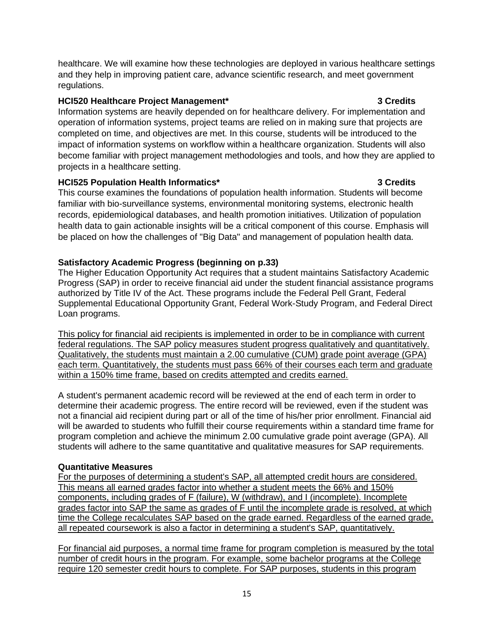healthcare. We will examine how these technologies are deployed in various healthcare settings and they help in improving patient care, advance scientific research, and meet government regulations.

## **HCI520 Healthcare Project Management\* 3 Credits**

Information systems are heavily depended on for healthcare delivery. For implementation and operation of information systems, project teams are relied on in making sure that projects are completed on time, and objectives are met. In this course, students will be introduced to the impact of information systems on workflow within a healthcare organization. Students will also become familiar with project management methodologies and tools, and how they are applied to projects in a healthcare setting.

## **HCI525 Population Health Informatics\* 3 Credits**

This course examines the foundations of population health information. Students will become familiar with bio-surveillance systems, environmental monitoring systems, electronic health records, epidemiological databases, and health promotion initiatives. Utilization of population health data to gain actionable insights will be a critical component of this course. Emphasis will be placed on how the challenges of "Big Data" and management of population health data.

## **Satisfactory Academic Progress (beginning on p.33)**

The Higher Education Opportunity Act requires that a student maintains Satisfactory Academic Progress (SAP) in order to receive financial aid under the student financial assistance programs authorized by Title IV of the Act. These programs include the Federal Pell Grant, Federal Supplemental Educational Opportunity Grant, Federal Work-Study Program, and Federal Direct Loan programs.

This policy for financial aid recipients is implemented in order to be in compliance with current federal regulations. The SAP policy measures student progress qualitatively and quantitatively. Qualitatively, the students must maintain a 2.00 cumulative (CUM) grade point average (GPA) each term. Quantitatively, the students must pass 66% of their courses each term and graduate within a 150% time frame, based on credits attempted and credits earned.

A student's permanent academic record will be reviewed at the end of each term in order to determine their academic progress. The entire record will be reviewed, even if the student was not a financial aid recipient during part or all of the time of his/her prior enrollment. Financial aid will be awarded to students who fulfill their course requirements within a standard time frame for program completion and achieve the minimum 2.00 cumulative grade point average (GPA). All students will adhere to the same quantitative and qualitative measures for SAP requirements.

## **Quantitative Measures**

For the purposes of determining a student's SAP, all attempted credit hours are considered. This means all earned grades factor into whether a student meets the 66% and 150% components, including grades of F (failure), W (withdraw), and I (incomplete). Incomplete grades factor into SAP the same as grades of F until the incomplete grade is resolved, at which time the College recalculates SAP based on the grade earned. Regardless of the earned grade, all repeated coursework is also a factor in determining a student's SAP, quantitatively.

For financial aid purposes, a normal time frame for program completion is measured by the total number of credit hours in the program. For example, some bachelor programs at the College require 120 semester credit hours to complete. For SAP purposes, students in this program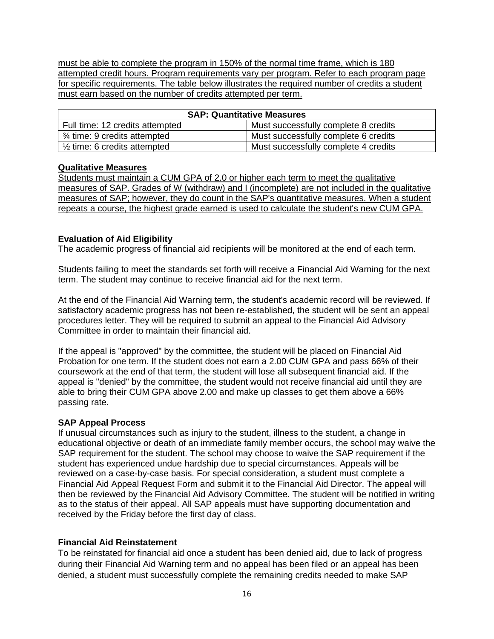must be able to complete the program in 150% of the normal time frame, which is 180 attempted credit hours. Program requirements vary per program. Refer to each program page for specific requirements. The table below illustrates the required number of credits a student must earn based on the number of credits attempted per term.

| <b>SAP: Quantitative Measures</b>       |                                      |  |  |
|-----------------------------------------|--------------------------------------|--|--|
| Full time: 12 credits attempted         | Must successfully complete 8 credits |  |  |
| 3⁄4 time: 9 credits attempted           | Must successfully complete 6 credits |  |  |
| $\frac{1}{2}$ time: 6 credits attempted | Must successfully complete 4 credits |  |  |

### **Qualitative Measures**

Students must maintain a CUM GPA of 2.0 or higher each term to meet the qualitative measures of SAP. Grades of W (withdraw) and I (incomplete) are not included in the qualitative measures of SAP; however, they do count in the SAP's quantitative measures. When a student repeats a course, the highest grade earned is used to calculate the student's new CUM GPA.

## **Evaluation of Aid Eligibility**

The academic progress of financial aid recipients will be monitored at the end of each term.

Students failing to meet the standards set forth will receive a Financial Aid Warning for the next term. The student may continue to receive financial aid for the next term.

At the end of the Financial Aid Warning term, the student's academic record will be reviewed. If satisfactory academic progress has not been re-established, the student will be sent an appeal procedures letter. They will be required to submit an appeal to the Financial Aid Advisory Committee in order to maintain their financial aid.

If the appeal is "approved" by the committee, the student will be placed on Financial Aid Probation for one term. If the student does not earn a 2.00 CUM GPA and pass 66% of their coursework at the end of that term, the student will lose all subsequent financial aid. If the appeal is "denied" by the committee, the student would not receive financial aid until they are able to bring their CUM GPA above 2.00 and make up classes to get them above a 66% passing rate.

## **SAP Appeal Process**

If unusual circumstances such as injury to the student, illness to the student, a change in educational objective or death of an immediate family member occurs, the school may waive the SAP requirement for the student. The school may choose to waive the SAP requirement if the student has experienced undue hardship due to special circumstances. Appeals will be reviewed on a case-by-case basis. For special consideration, a student must complete a Financial Aid Appeal Request Form and submit it to the Financial Aid Director. The appeal will then be reviewed by the Financial Aid Advisory Committee. The student will be notified in writing as to the status of their appeal. All SAP appeals must have supporting documentation and received by the Friday before the first day of class.

## **Financial Aid Reinstatement**

To be reinstated for financial aid once a student has been denied aid, due to lack of progress during their Financial Aid Warning term and no appeal has been filed or an appeal has been denied, a student must successfully complete the remaining credits needed to make SAP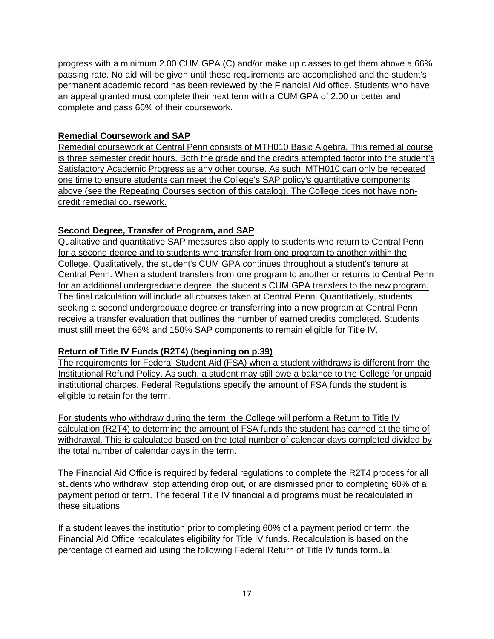progress with a minimum 2.00 CUM GPA (C) and/or make up classes to get them above a 66% passing rate. No aid will be given until these requirements are accomplished and the student's permanent academic record has been reviewed by the Financial Aid office. Students who have an appeal granted must complete their next term with a CUM GPA of 2.00 or better and complete and pass 66% of their coursework.

## **Remedial Coursework and SAP**

Remedial coursework at Central Penn consists of MTH010 Basic Algebra. This remedial course is three semester credit hours. Both the grade and the credits attempted factor into the student's Satisfactory Academic Progress as any other course. As such, MTH010 can only be repeated one time to ensure students can meet the College's SAP policy's quantitative components above (see the Repeating Courses section of this catalog). The College does not have noncredit remedial coursework.

## **Second Degree, Transfer of Program, and SAP**

Qualitative and quantitative SAP measures also apply to students who return to Central Penn for a second degree and to students who transfer from one program to another within the College. Qualitatively, the student's CUM GPA continues throughout a student's tenure at Central Penn. When a student transfers from one program to another or returns to Central Penn for an additional undergraduate degree, the student's CUM GPA transfers to the new program. The final calculation will include all courses taken at Central Penn. Quantitatively, students seeking a second undergraduate degree or transferring into a new program at Central Penn receive a transfer evaluation that outlines the number of earned credits completed. Students must still meet the 66% and 150% SAP components to remain eligible for Title IV.

## **Return of Title IV Funds (R2T4) (beginning on p.39)**

The requirements for Federal Student Aid (FSA) when a student withdraws is different from the Institutional Refund Policy. As such, a student may still owe a balance to the College for unpaid institutional charges. Federal Regulations specify the amount of FSA funds the student is eligible to retain for the term.

For students who withdraw during the term, the College will perform a Return to Title IV calculation (R2T4) to determine the amount of FSA funds the student has earned at the time of withdrawal. This is calculated based on the total number of calendar days completed divided by the total number of calendar days in the term.

The Financial Aid Office is required by federal regulations to complete the R2T4 process for all students who withdraw, stop attending drop out, or are dismissed prior to completing 60% of a payment period or term. The federal Title IV financial aid programs must be recalculated in these situations.

If a student leaves the institution prior to completing 60% of a payment period or term, the Financial Aid Office recalculates eligibility for Title IV funds. Recalculation is based on the percentage of earned aid using the following Federal Return of Title IV funds formula: